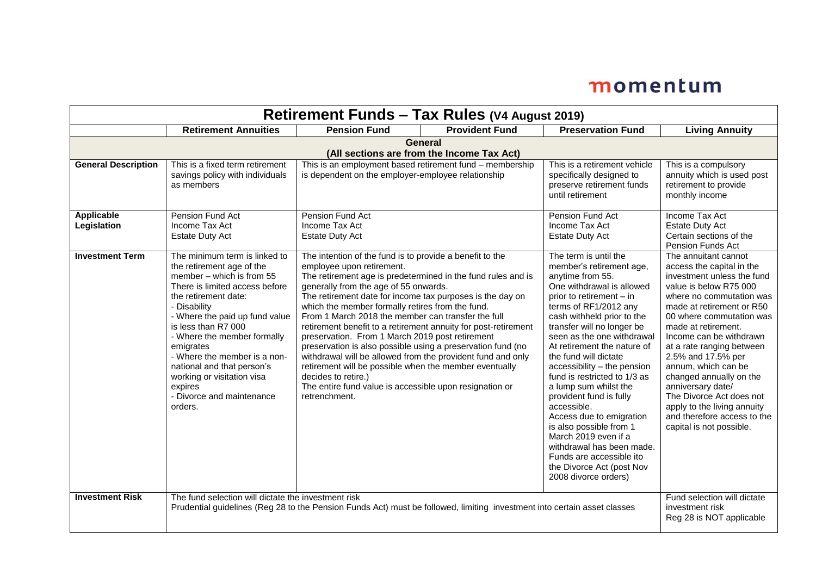| <b>Retirement Funds – Tax Rules (V4 August 2019)</b> |                                                                                                                                                                                                                                                                                                                                                                                                                       |                                                                                                                                                                                                                                                                                                                                                                                                                                                                                                                                                                                                                                                                                                                                                                                       |                       |                                                                                                                                                                                                                                                                                                                                                                                                                                                                                                                                                                                                                                          |                                                                                                                                                                                                                                                                                                                                                                                                                                                                                                  |  |  |
|------------------------------------------------------|-----------------------------------------------------------------------------------------------------------------------------------------------------------------------------------------------------------------------------------------------------------------------------------------------------------------------------------------------------------------------------------------------------------------------|---------------------------------------------------------------------------------------------------------------------------------------------------------------------------------------------------------------------------------------------------------------------------------------------------------------------------------------------------------------------------------------------------------------------------------------------------------------------------------------------------------------------------------------------------------------------------------------------------------------------------------------------------------------------------------------------------------------------------------------------------------------------------------------|-----------------------|------------------------------------------------------------------------------------------------------------------------------------------------------------------------------------------------------------------------------------------------------------------------------------------------------------------------------------------------------------------------------------------------------------------------------------------------------------------------------------------------------------------------------------------------------------------------------------------------------------------------------------------|--------------------------------------------------------------------------------------------------------------------------------------------------------------------------------------------------------------------------------------------------------------------------------------------------------------------------------------------------------------------------------------------------------------------------------------------------------------------------------------------------|--|--|
|                                                      | <b>Retirement Annuities</b>                                                                                                                                                                                                                                                                                                                                                                                           | <b>Pension Fund</b>                                                                                                                                                                                                                                                                                                                                                                                                                                                                                                                                                                                                                                                                                                                                                                   | <b>Provident Fund</b> | <b>Preservation Fund</b>                                                                                                                                                                                                                                                                                                                                                                                                                                                                                                                                                                                                                 | <b>Living Annuity</b>                                                                                                                                                                                                                                                                                                                                                                                                                                                                            |  |  |
|                                                      | <b>General</b><br>(All sections are from the Income Tax Act)                                                                                                                                                                                                                                                                                                                                                          |                                                                                                                                                                                                                                                                                                                                                                                                                                                                                                                                                                                                                                                                                                                                                                                       |                       |                                                                                                                                                                                                                                                                                                                                                                                                                                                                                                                                                                                                                                          |                                                                                                                                                                                                                                                                                                                                                                                                                                                                                                  |  |  |
| <b>General Description</b>                           | This is a fixed term retirement<br>savings policy with individuals<br>as members                                                                                                                                                                                                                                                                                                                                      | This is an employment based retirement fund - membership<br>This is a retirement vehicle<br>is dependent on the employer-employee relationship<br>specifically designed to<br>preserve retirement funds<br>until retirement                                                                                                                                                                                                                                                                                                                                                                                                                                                                                                                                                           |                       |                                                                                                                                                                                                                                                                                                                                                                                                                                                                                                                                                                                                                                          | This is a compulsory<br>annuity which is used post<br>retirement to provide<br>monthly income                                                                                                                                                                                                                                                                                                                                                                                                    |  |  |
| <b>Applicable</b><br>Legislation                     | Pension Fund Act<br>Income Tax Act<br><b>Estate Duty Act</b>                                                                                                                                                                                                                                                                                                                                                          | Pension Fund Act<br>Income Tax Act<br><b>Estate Duty Act</b>                                                                                                                                                                                                                                                                                                                                                                                                                                                                                                                                                                                                                                                                                                                          |                       | Pension Fund Act<br>Income Tax Act<br>Estate Duty Act                                                                                                                                                                                                                                                                                                                                                                                                                                                                                                                                                                                    | Income Tax Act<br><b>Estate Duty Act</b><br>Certain sections of the<br>Pension Funds Act                                                                                                                                                                                                                                                                                                                                                                                                         |  |  |
| <b>Investment Term</b>                               | The minimum term is linked to<br>the retirement age of the<br>member - which is from 55<br>There is limited access before<br>the retirement date:<br>- Disability<br>- Where the paid up fund value<br>is less than R7 000<br>- Where the member formally<br>emigrates<br>- Where the member is a non-<br>national and that person's<br>working or visitation visa<br>expires<br>- Divorce and maintenance<br>orders. | The intention of the fund is to provide a benefit to the<br>employee upon retirement.<br>The retirement age is predetermined in the fund rules and is<br>generally from the age of 55 onwards.<br>The retirement date for income tax purposes is the day on<br>which the member formally retires from the fund.<br>From 1 March 2018 the member can transfer the full<br>retirement benefit to a retirement annuity for post-retirement<br>preservation. From 1 March 2019 post retirement<br>preservation is also possible using a preservation fund (no<br>withdrawal will be allowed from the provident fund and only<br>retirement will be possible when the member eventually<br>decides to retire.)<br>The entire fund value is accessible upon resignation or<br>retrenchment. |                       | The term is until the<br>member's retirement age.<br>anytime from 55.<br>One withdrawal is allowed<br>prior to retirement - in<br>terms of RF1/2012 any<br>cash withheld prior to the<br>transfer will no longer be<br>seen as the one withdrawal<br>At retirement the nature of<br>the fund will dictate<br>accessibility - the pension<br>fund is restricted to 1/3 as<br>a lump sum whilst the<br>provident fund is fully<br>accessible.<br>Access due to emigration<br>is also possible from 1<br>March 2019 even if a<br>withdrawal has been made.<br>Funds are accessible ito<br>the Divorce Act (post Nov<br>2008 divorce orders) | The annuitant cannot<br>access the capital in the<br>investment unless the fund<br>value is below R75 000<br>where no commutation was<br>made at retirement or R50<br>00 where commutation was<br>made at retirement.<br>Income can be withdrawn<br>at a rate ranging between<br>2.5% and 17.5% per<br>annum, which can be<br>changed annually on the<br>anniversary date/<br>The Divorce Act does not<br>apply to the living annuity<br>and therefore access to the<br>capital is not possible. |  |  |
| <b>Investment Risk</b>                               | The fund selection will dictate the investment risk<br>Prudential guidelines (Reg 28 to the Pension Funds Act) must be followed, limiting investment into certain asset classes                                                                                                                                                                                                                                       |                                                                                                                                                                                                                                                                                                                                                                                                                                                                                                                                                                                                                                                                                                                                                                                       |                       |                                                                                                                                                                                                                                                                                                                                                                                                                                                                                                                                                                                                                                          | Fund selection will dictate<br>investment risk<br>Reg 28 is NOT applicable                                                                                                                                                                                                                                                                                                                                                                                                                       |  |  |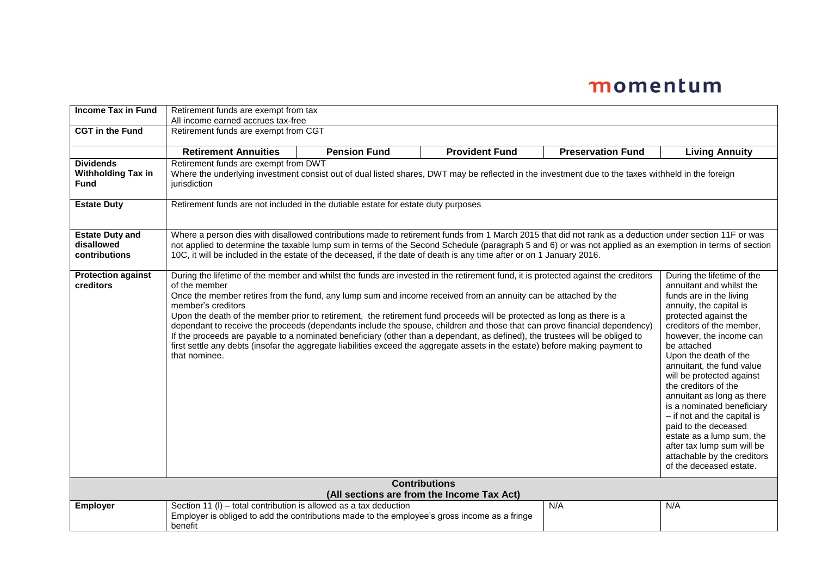| <b>Income Tax in Fund</b>                                          | Retirement funds are exempt from tax<br>All income earned accrues tax-free                                                                                                                                                                                                                                                                                                                                                                                                                                                                                                                                                                                                                                                                                                                                                                                                                                                                                                                                                                                                                                                                                                                                                                                                                                                                                                                            |                     |                       |                          |                       |
|--------------------------------------------------------------------|-------------------------------------------------------------------------------------------------------------------------------------------------------------------------------------------------------------------------------------------------------------------------------------------------------------------------------------------------------------------------------------------------------------------------------------------------------------------------------------------------------------------------------------------------------------------------------------------------------------------------------------------------------------------------------------------------------------------------------------------------------------------------------------------------------------------------------------------------------------------------------------------------------------------------------------------------------------------------------------------------------------------------------------------------------------------------------------------------------------------------------------------------------------------------------------------------------------------------------------------------------------------------------------------------------------------------------------------------------------------------------------------------------|---------------------|-----------------------|--------------------------|-----------------------|
| <b>CGT</b> in the Fund                                             | Retirement funds are exempt from CGT                                                                                                                                                                                                                                                                                                                                                                                                                                                                                                                                                                                                                                                                                                                                                                                                                                                                                                                                                                                                                                                                                                                                                                                                                                                                                                                                                                  |                     |                       |                          |                       |
|                                                                    | <b>Retirement Annuities</b>                                                                                                                                                                                                                                                                                                                                                                                                                                                                                                                                                                                                                                                                                                                                                                                                                                                                                                                                                                                                                                                                                                                                                                                                                                                                                                                                                                           | <b>Pension Fund</b> | <b>Provident Fund</b> | <b>Preservation Fund</b> | <b>Living Annuity</b> |
| <b>Dividends</b><br><b>Withholding Tax in</b><br><b>Fund</b>       | Retirement funds are exempt from DWT<br>Where the underlying investment consist out of dual listed shares, DWT may be reflected in the investment due to the taxes withheld in the foreign<br>jurisdiction                                                                                                                                                                                                                                                                                                                                                                                                                                                                                                                                                                                                                                                                                                                                                                                                                                                                                                                                                                                                                                                                                                                                                                                            |                     |                       |                          |                       |
| <b>Estate Duty</b>                                                 | Retirement funds are not included in the dutiable estate for estate duty purposes                                                                                                                                                                                                                                                                                                                                                                                                                                                                                                                                                                                                                                                                                                                                                                                                                                                                                                                                                                                                                                                                                                                                                                                                                                                                                                                     |                     |                       |                          |                       |
| <b>Estate Duty and</b><br>disallowed<br>contributions              | Where a person dies with disallowed contributions made to retirement funds from 1 March 2015 that did not rank as a deduction under section 11F or was<br>not applied to determine the taxable lump sum in terms of the Second Schedule (paragraph 5 and 6) or was not applied as an exemption in terms of section<br>10C, it will be included in the estate of the deceased, if the date of death is any time after or on 1 January 2016.                                                                                                                                                                                                                                                                                                                                                                                                                                                                                                                                                                                                                                                                                                                                                                                                                                                                                                                                                            |                     |                       |                          |                       |
| <b>Protection against</b><br>creditors                             | During the lifetime of the member and whilst the funds are invested in the retirement fund, it is protected against the creditors<br>During the lifetime of the<br>of the member<br>annuitant and whilst the<br>Once the member retires from the fund, any lump sum and income received from an annuity can be attached by the<br>funds are in the living<br>annuity, the capital is<br>member's creditors<br>Upon the death of the member prior to retirement, the retirement fund proceeds will be protected as long as there is a<br>protected against the<br>creditors of the member,<br>dependant to receive the proceeds (dependants include the spouse, children and those that can prove financial dependency)<br>If the proceeds are payable to a nominated beneficiary (other than a dependant, as defined), the trustees will be obliged to<br>however, the income can<br>first settle any debts (insofar the aggregate liabilities exceed the aggregate assets in the estate) before making payment to<br>be attached<br>that nominee.<br>Upon the death of the<br>annuitant, the fund value<br>will be protected against<br>the creditors of the<br>annuitant as long as there<br>is a nominated beneficiary<br>- if not and the capital is<br>paid to the deceased<br>estate as a lump sum, the<br>after tax lump sum will be<br>attachable by the creditors<br>of the deceased estate. |                     |                       |                          |                       |
| <b>Contributions</b><br>(All sections are from the Income Tax Act) |                                                                                                                                                                                                                                                                                                                                                                                                                                                                                                                                                                                                                                                                                                                                                                                                                                                                                                                                                                                                                                                                                                                                                                                                                                                                                                                                                                                                       |                     |                       |                          |                       |
| <b>Employer</b>                                                    | Section 11 (I) – total contribution is allowed as a tax deduction<br>Employer is obliged to add the contributions made to the employee's gross income as a fringe<br>benefit                                                                                                                                                                                                                                                                                                                                                                                                                                                                                                                                                                                                                                                                                                                                                                                                                                                                                                                                                                                                                                                                                                                                                                                                                          |                     |                       | N/A                      | N/A                   |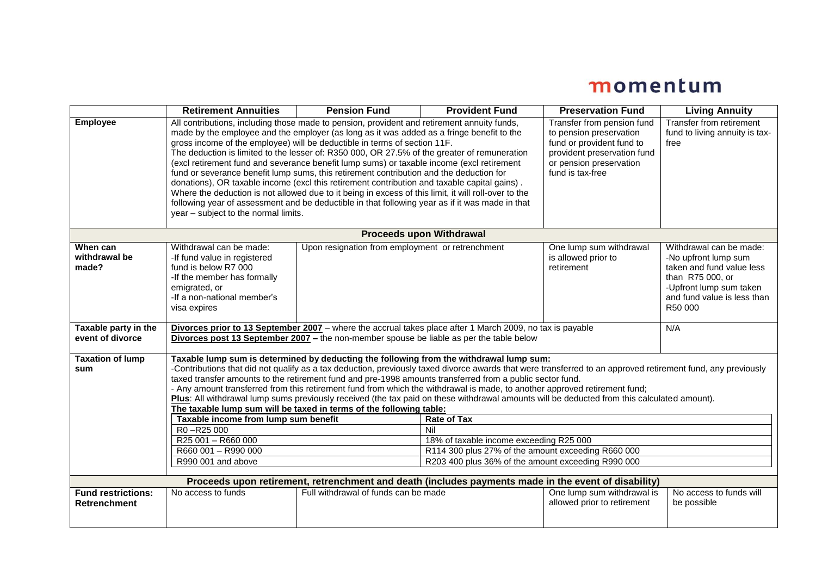|                                                                                                      | <b>Retirement Annuities</b>                                                                                                                                                                                                                                                                                                                                                                                                                                                                                                                                                                                                                                                                                                                                                                                                                                                                                      | <b>Pension Fund</b>                                | <b>Provident Fund</b>                              | <b>Preservation Fund</b>                                                                                                                                         | <b>Living Annuity</b>                                                                                                                                                 |  |  |
|------------------------------------------------------------------------------------------------------|------------------------------------------------------------------------------------------------------------------------------------------------------------------------------------------------------------------------------------------------------------------------------------------------------------------------------------------------------------------------------------------------------------------------------------------------------------------------------------------------------------------------------------------------------------------------------------------------------------------------------------------------------------------------------------------------------------------------------------------------------------------------------------------------------------------------------------------------------------------------------------------------------------------|----------------------------------------------------|----------------------------------------------------|------------------------------------------------------------------------------------------------------------------------------------------------------------------|-----------------------------------------------------------------------------------------------------------------------------------------------------------------------|--|--|
| <b>Employee</b>                                                                                      | All contributions, including those made to pension, provident and retirement annuity funds,<br>made by the employee and the employer (as long as it was added as a fringe benefit to the<br>gross income of the employee) will be deductible in terms of section 11F.<br>The deduction is limited to the lesser of: R350 000, OR 27.5% of the greater of remuneration<br>(excl retirement fund and severance benefit lump sums) or taxable income (excl retirement<br>fund or severance benefit lump sums, this retirement contribution and the deduction for<br>donations), OR taxable income (excl this retirement contribution and taxable capital gains).<br>Where the deduction is not allowed due to it being in excess of this limit, it will roll-over to the<br>following year of assessment and be deductible in that following year as if it was made in that<br>year - subject to the normal limits. |                                                    |                                                    | Transfer from pension fund<br>to pension preservation<br>fund or provident fund to<br>provident preservation fund<br>or pension preservation<br>fund is tax-free | Transfer from retirement<br>fund to living annuity is tax-<br>free                                                                                                    |  |  |
|                                                                                                      | <b>Proceeds upon Withdrawal</b>                                                                                                                                                                                                                                                                                                                                                                                                                                                                                                                                                                                                                                                                                                                                                                                                                                                                                  |                                                    |                                                    |                                                                                                                                                                  |                                                                                                                                                                       |  |  |
| When can<br>withdrawal be<br>made?                                                                   | Withdrawal can be made:<br>-If fund value in registered<br>fund is below R7 000<br>-If the member has formally<br>emigrated, or<br>-If a non-national member's<br>visa expires                                                                                                                                                                                                                                                                                                                                                                                                                                                                                                                                                                                                                                                                                                                                   | Upon resignation from employment or retrenchment   |                                                    | One lump sum withdrawal<br>is allowed prior to<br>retirement                                                                                                     | Withdrawal can be made:<br>-No upfront lump sum<br>taken and fund value less<br>than R75 000, or<br>-Upfront lump sum taken<br>and fund value is less than<br>R50 000 |  |  |
| Taxable party in the<br>event of divorce                                                             | Divorces prior to 13 September 2007 - where the accrual takes place after 1 March 2009, no tax is payable<br>Divorces post 13 September 2007 - the non-member spouse be liable as per the table below                                                                                                                                                                                                                                                                                                                                                                                                                                                                                                                                                                                                                                                                                                            |                                                    |                                                    |                                                                                                                                                                  | N/A                                                                                                                                                                   |  |  |
| <b>Taxation of lump</b><br>sum                                                                       | Taxable lump sum is determined by deducting the following from the withdrawal lump sum:<br>-Contributions that did not qualify as a tax deduction, previously taxed divorce awards that were transferred to an approved retirement fund, any previously<br>taxed transfer amounts to the retirement fund and pre-1998 amounts transferred from a public sector fund.<br>- Any amount transferred from this retirement fund from which the withdrawal is made, to another approved retirement fund;<br>Plus: All withdrawal lump sums previously received (the tax paid on these withdrawal amounts will be deducted from this calculated amount).<br>The taxable lump sum will be taxed in terms of the following table:<br><b>Rate of Tax</b><br>Taxable income from lump sum benefit<br>R0-R25 000<br>Nil                                                                                                      |                                                    |                                                    |                                                                                                                                                                  |                                                                                                                                                                       |  |  |
|                                                                                                      | R25 001 - R660 000<br>R660 001 - R990 000                                                                                                                                                                                                                                                                                                                                                                                                                                                                                                                                                                                                                                                                                                                                                                                                                                                                        |                                                    | 18% of taxable income exceeding R25 000            |                                                                                                                                                                  |                                                                                                                                                                       |  |  |
|                                                                                                      |                                                                                                                                                                                                                                                                                                                                                                                                                                                                                                                                                                                                                                                                                                                                                                                                                                                                                                                  |                                                    | R114 300 plus 27% of the amount exceeding R660 000 |                                                                                                                                                                  |                                                                                                                                                                       |  |  |
|                                                                                                      | R990 001 and above                                                                                                                                                                                                                                                                                                                                                                                                                                                                                                                                                                                                                                                                                                                                                                                                                                                                                               | R203 400 plus 36% of the amount exceeding R990 000 |                                                    |                                                                                                                                                                  |                                                                                                                                                                       |  |  |
| Proceeds upon retirement, retrenchment and death (includes payments made in the event of disability) |                                                                                                                                                                                                                                                                                                                                                                                                                                                                                                                                                                                                                                                                                                                                                                                                                                                                                                                  |                                                    |                                                    |                                                                                                                                                                  |                                                                                                                                                                       |  |  |
| <b>Fund restrictions:</b><br><b>Retrenchment</b>                                                     | No access to funds                                                                                                                                                                                                                                                                                                                                                                                                                                                                                                                                                                                                                                                                                                                                                                                                                                                                                               | Full withdrawal of funds can be made               |                                                    | One lump sum withdrawal is<br>allowed prior to retirement                                                                                                        | No access to funds will<br>be possible                                                                                                                                |  |  |